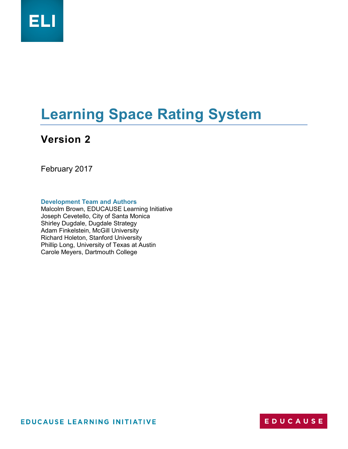

# **Learning Space Rating System**

# **Version 2**

February 2017

**Development Team and Authors**

Malcolm Brown, EDUCAUSE Learning Initiative Joseph Cevetello, City of Santa Monica Shirley Dugdale, Dugdale Strategy Adam Finkelstein, McGill University Richard Holeton, Stanford University Phillip Long, University of Texas at Austin Carole Meyers, Dartmouth College

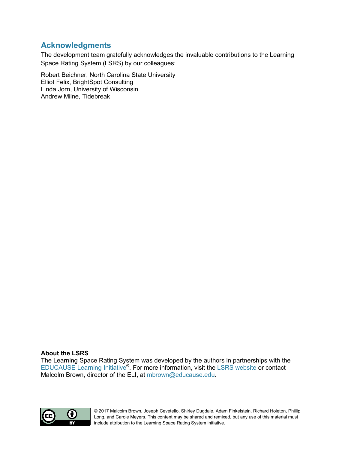### **Acknowledgments**

The development team gratefully acknowledges the invaluable contributions to the Learning Space Rating System [\(LSRS\)](https://www.educause.edu/eli/initiatives/learning-space-rating-system) by our colleagues:

Robert Beichner, North Carolina State University Elliot Felix, BrightSpot Consulting Linda Jorn, University of Wisconsin Andrew Milne, Tidebreak

#### **About the LSRS**

The Learning Space Rating System was developed by the authors in partnerships with the [EDUCAUSE Learning Initiative](https://www.educause.edu/eli/)<sup>®</sup>. For more information, visit the [LSRS website](https://www.educause.edu/eli/initiatives/learning-space-rating-system) or contact Malcolm Brown, director of the ELI, at [mbrown@educause.edu.](mailto:mbrown@educause.edu)



© 2017 Malcolm Brown, Joseph Cevetello, Shirley Dugdale, Adam Finkelstein, Richard Holeton, Phillip Long, and Carole Meyers. This content may be shared and remixed, but any use of this material must include attribution to the Learning Space Rating System initiative.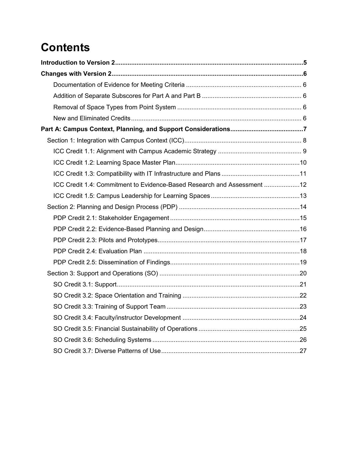# **Contents**

| ICC Credit 1.4: Commitment to Evidence-Based Research and Assessment 12 |  |
|-------------------------------------------------------------------------|--|
|                                                                         |  |
|                                                                         |  |
|                                                                         |  |
|                                                                         |  |
|                                                                         |  |
|                                                                         |  |
|                                                                         |  |
|                                                                         |  |
|                                                                         |  |
|                                                                         |  |
|                                                                         |  |
|                                                                         |  |
|                                                                         |  |
|                                                                         |  |
|                                                                         |  |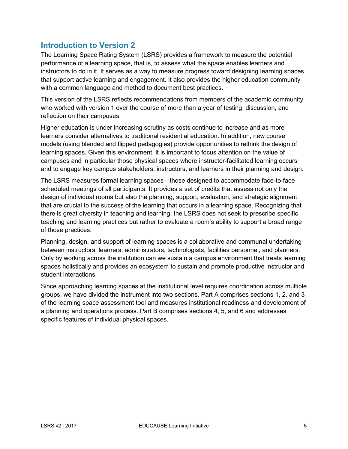### <span id="page-4-0"></span>**Introduction to Version 2**

The Learning Space Rating System (LSRS) provides a framework to measure the potential performance of a learning space, that is, to assess what the space enables learners and instructors to do in it. It serves as a way to measure progress toward designing learning spaces that support active learning and engagement. It also provides the higher education community with a common language and method to document best practices.

This version of the LSRS reflects recommendations from members of the academic community who worked with version 1 over the course of more than a year of testing, discussion, and reflection on their campuses.

Higher education is under increasing scrutiny as costs continue to increase and as more learners consider alternatives to traditional residential education. In addition, new course models (using blended and flipped pedagogies) provide opportunities to rethink the design of learning spaces. Given this environment, it is important to focus attention on the value of campuses and in particular those physical spaces where instructor-facilitated learning occurs and to engage key campus stakeholders, instructors, and learners in their planning and design.

The LSRS measures formal learning spaces—those designed to accommodate face-to-face scheduled meetings of all participants. It provides a set of credits that assess not only the design of individual rooms but also the planning, support, evaluation, and strategic alignment that are crucial to the success of the learning that occurs in a learning space. Recognizing that there is great diversity in teaching and learning, the LSRS does not seek to prescribe specific teaching and learning practices but rather to evaluate a room's ability to support a broad range of those practices.

Planning, design, and support of learning spaces is a collaborative and communal undertaking between instructors, learners, administrators, technologists, facilities personnel, and planners. Only by working across the institution can we sustain a campus environment that treats learning spaces holistically and provides an ecosystem to sustain and promote productive instructor and student interactions.

Since approaching learning spaces at the institutional level requires coordination across multiple groups, we have divided the instrument into two sections. Part A comprises sections 1, 2, and 3 of the learning space assessment tool and measures institutional readiness and development of a planning and operations process. Part B comprises sections 4, 5, and 6 and addresses specific features of individual physical spaces.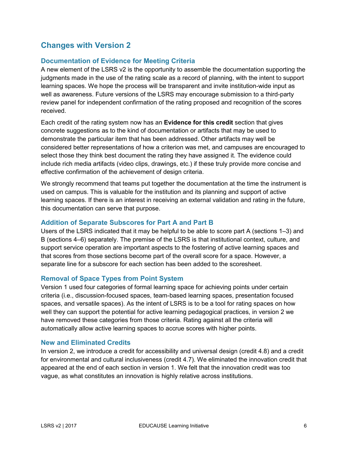### <span id="page-5-0"></span>**Changes with Version 2**

### <span id="page-5-1"></span>**Documentation of Evidence for Meeting Criteria**

A new element of the LSRS v2 is the opportunity to assemble the documentation supporting the judgments made in the use of the rating scale as a record of planning, with the intent to support learning spaces. We hope the process will be transparent and invite institution-wide input as well as awareness. Future versions of the LSRS may encourage submission to a third-party review panel for independent confirmation of the rating proposed and recognition of the scores received.

Each credit of the rating system now has an **Evidence for this credit** section that gives concrete suggestions as to the kind of documentation or artifacts that may be used to demonstrate the particular item that has been addressed. Other artifacts may well be considered better representations of how a criterion was met, and campuses are encouraged to select those they think best document the rating they have assigned it. The evidence could include rich media artifacts (video clips, drawings, etc.) if these truly provide more concise and effective confirmation of the achievement of design criteria.

We strongly recommend that teams put together the documentation at the time the instrument is used on campus. This is valuable for the institution and its planning and support of active learning spaces. If there is an interest in receiving an external validation and rating in the future, this documentation can serve that purpose.

#### <span id="page-5-2"></span>**Addition of Separate Subscores for Part A and Part B**

Users of the LSRS indicated that it may be helpful to be able to score part A (sections 1–3) and B (sections 4–6) separately. The premise of the LSRS is that institutional context, culture, and support service operation are important aspects to the fostering of active learning spaces and that scores from those sections become part of the overall score for a space. However, a separate line for a subscore for each section has been added to the scoresheet.

### <span id="page-5-3"></span>**Removal of Space Types from Point System**

Version 1 used four categories of formal learning space for achieving points under certain criteria (i.e., discussion-focused spaces, team-based learning spaces, presentation focused spaces, and versatile spaces). As the intent of LSRS is to be a tool for rating spaces on how well they can support the potential for active learning pedagogical practices, in version 2 we have removed these categories from those criteria. Rating against all the criteria will automatically allow active learning spaces to accrue scores with higher points.

#### <span id="page-5-4"></span>**New and Eliminated Credits**

In version 2, we introduce a credit for accessibility and universal design (credit 4.8) and a credit for environmental and cultural inclusiveness (credit 4.7). We eliminated the innovation credit that appeared at the end of each section in version 1. We felt that the innovation credit was too vague, as what constitutes an innovation is highly relative across institutions.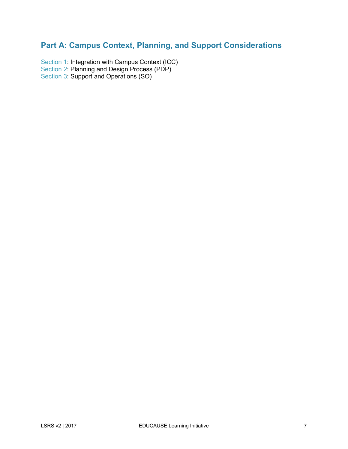# <span id="page-6-0"></span>**Part A: Campus Context, Planning, and Support Considerations**

[Section 1:](#page-7-0) Integration with Campus Context (ICC) [Section 2:](#page-13-0) Planning and Design Process (PDP) [Section 3:](#page-19-0) Support and Operations (SO)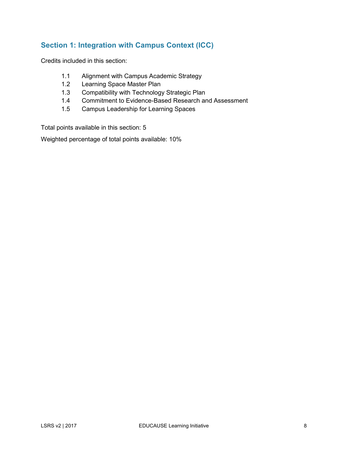### <span id="page-7-0"></span>**Section 1: Integration with Campus Context (ICC)**

Credits included in this section:

- 1.1 Alignment with Campus Academic Strategy
- 1.2 Learning Space Master Plan
- 1.3 Compatibility with Technology Strategic Plan
- 1.4 Commitment to Evidence-Based Research and Assessment
- 1.5 Campus Leadership for Learning Spaces

Total points available in this section: 5

Weighted percentage of total points available: 10%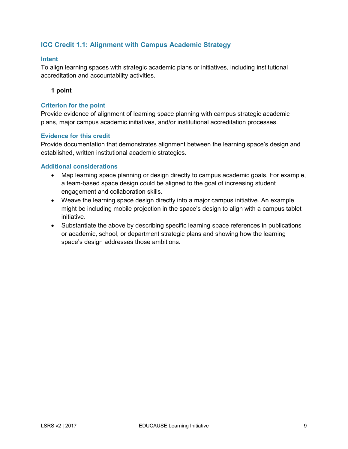### <span id="page-8-0"></span>**ICC Credit 1.1: Alignment with Campus Academic Strategy**

#### **Intent**

To align learning spaces with strategic academic plans or initiatives, including institutional accreditation and accountability activities.

#### **1 point**

#### **Criterion for the point**

Provide evidence of alignment of learning space planning with campus strategic academic plans, major campus academic initiatives, and/or institutional accreditation processes.

#### **Evidence for this credit**

Provide documentation that demonstrates alignment between the learning space's design and established, written institutional academic strategies.

- Map learning space planning or design directly to campus academic goals. For example, a team-based space design could be aligned to the goal of increasing student engagement and collaboration skills.
- Weave the learning space design directly into a major campus initiative. An example might be including mobile projection in the space's design to align with a campus tablet initiative.
- Substantiate the above by describing specific learning space references in publications or academic, school, or department strategic plans and showing how the learning space's design addresses those ambitions.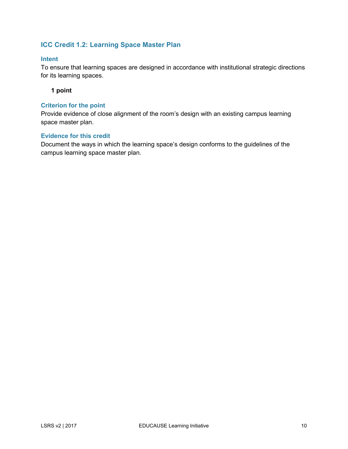### <span id="page-9-0"></span>**ICC Credit 1.2: Learning Space Master Plan**

#### **Intent**

To ensure that learning spaces are designed in accordance with institutional strategic directions for its learning spaces.

#### **1 point**

#### **Criterion for the point**

Provide evidence of close alignment of the room's design with an existing campus learning space master plan.

#### **Evidence for this credit**

Document the ways in which the learning space's design conforms to the guidelines of the campus learning space master plan.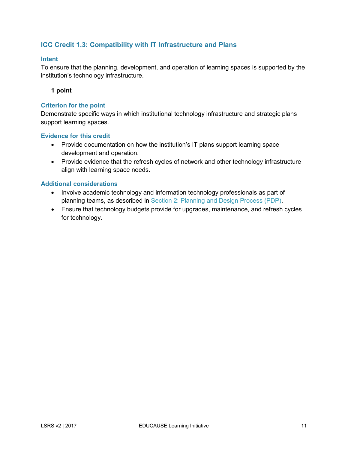### <span id="page-10-0"></span>**ICC Credit 1.3: Compatibility with IT Infrastructure and Plans**

#### **Intent**

To ensure that the planning, development, and operation of learning spaces is supported by the institution's technology infrastructure.

#### **1 point**

#### **Criterion for the point**

Demonstrate specific ways in which institutional technology infrastructure and strategic plans support learning spaces.

#### **Evidence for this credit**

- Provide documentation on how the institution's IT plans support learning space development and operation.
- Provide evidence that the refresh cycles of network and other technology infrastructure align with learning space needs.

- Involve academic technology and information technology professionals as part of planning teams, as described in [Section 2: Planning and Design Process \(PDP\).](#page-13-0)
- Ensure that technology budgets provide for upgrades, maintenance, and refresh cycles for technology.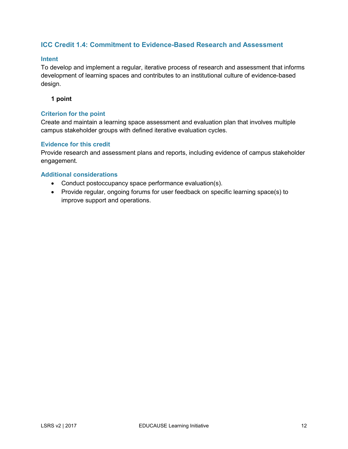### <span id="page-11-0"></span>**ICC Credit 1.4: Commitment to Evidence-Based Research and Assessment**

#### **Intent**

To develop and implement a regular, iterative process of research and assessment that informs development of learning spaces and contributes to an institutional culture of evidence-based design.

**1 point**

#### **Criterion for the point**

Create and maintain a learning space assessment and evaluation plan that involves multiple campus stakeholder groups with defined iterative evaluation cycles.

#### **Evidence for this credit**

Provide research and assessment plans and reports, including evidence of campus stakeholder engagement.

- Conduct postoccupancy space performance evaluation(s).
- Provide regular, ongoing forums for user feedback on specific learning space(s) to improve support and operations.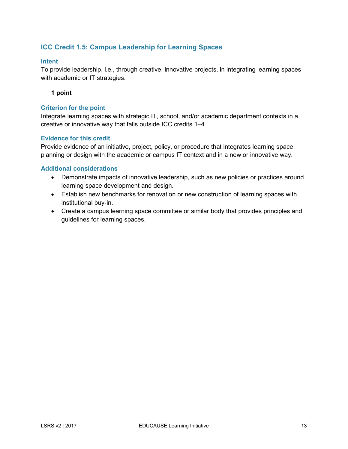### <span id="page-12-0"></span>**ICC Credit 1.5: Campus Leadership for Learning Spaces**

#### **Intent**

To provide leadership, i.e., through creative, innovative projects, in integrating learning spaces with academic or IT strategies.

#### **1 point**

#### **Criterion for the point**

Integrate learning spaces with strategic IT, school, and/or academic department contexts in a creative or innovative way that falls outside ICC credits 1–4.

#### **Evidence for this credit**

Provide evidence of an initiative, project, policy, or procedure that integrates learning space planning or design with the academic or campus IT context and in a new or innovative way.

- Demonstrate impacts of innovative leadership, such as new policies or practices around learning space development and design.
- Establish new benchmarks for renovation or new construction of learning spaces with institutional buy-in.
- Create a campus learning space committee or similar body that provides principles and guidelines for learning spaces.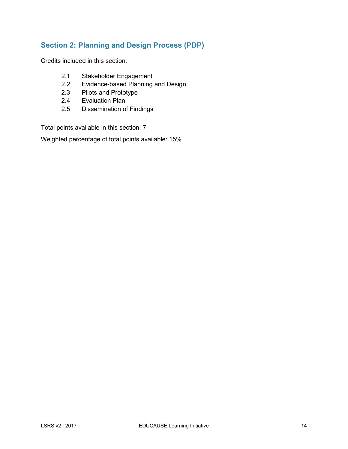### <span id="page-13-0"></span>**Section 2: Planning and Design Process (PDP)**

Credits included in this section:

- 2.1 Stakeholder Engagement
- 2.2 Evidence-based Planning and Design
- 2.3 Pilots and Prototype
- 2.4 Evaluation Plan
- 2.5 Dissemination of Findings

Total points available in this section: 7

Weighted percentage of total points available: 15%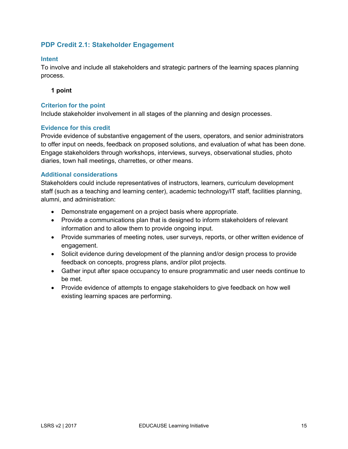### <span id="page-14-0"></span>**PDP Credit 2.1: Stakeholder Engagement**

#### **Intent**

To involve and include all stakeholders and strategic partners of the learning spaces planning process.

#### **1 point**

#### **Criterion for the point**

Include stakeholder involvement in all stages of the planning and design processes.

#### **Evidence for this credit**

Provide evidence of substantive engagement of the users, operators, and senior administrators to offer input on needs, feedback on proposed solutions, and evaluation of what has been done. Engage stakeholders through workshops, interviews, surveys, observational studies, photo diaries, town hall meetings, charrettes, or other means.

#### **Additional considerations**

Stakeholders could include representatives of instructors, learners, curriculum development staff (such as a teaching and learning center), academic technology/IT staff, facilities planning, alumni, and administration:

- Demonstrate engagement on a project basis where appropriate.
- Provide a communications plan that is designed to inform stakeholders of relevant information and to allow them to provide ongoing input.
- Provide summaries of meeting notes, user surveys, reports, or other written evidence of engagement.
- Solicit evidence during development of the planning and/or design process to provide feedback on concepts, progress plans, and/or pilot projects.
- Gather input after space occupancy to ensure programmatic and user needs continue to be met.
- Provide evidence of attempts to engage stakeholders to give feedback on how well existing learning spaces are performing.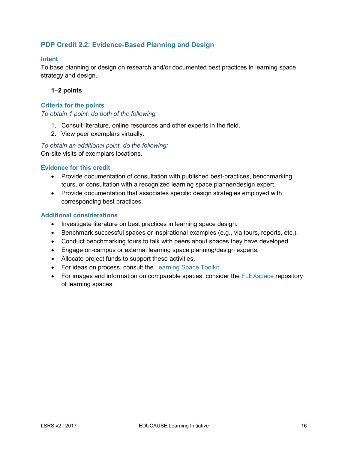### <span id="page-15-0"></span>**PDP Credit 2.2: Evidence-Based Planning and Design**

#### **Intent**

To base planning or design on research and/or documented best practices in learning space strategy and design.

#### **1–2 points**

#### **Criteria for the points**

*To obtain 1 point, do both of the following:*

- 1. Consult literature, online resources and other experts in the field.
- 2. View peer exemplars virtually.

*To obtain an additional point, do the following:* On-site visits of exemplars locations.

### **Evidence for this credit**

- Provide documentation of consultation with published best-practices, benchmarking tours, or consultation with a recognized learning space planner/design expert.
- Provide documentation that associates specific design strategies employed with corresponding best practices.

- Investigate literature on best practices in learning space design.
- Benchmark successful spaces or inspirational examples (e.g., via tours, reports, etc.).
- Conduct benchmarking tours to talk with peers about spaces they have developed.
- Engage on-campus or external learning space planning/design experts.
- Allocate project funds to support these activities.
- For ideas on process, consult the [Learning Space Toolkit.](http://learningspacetoolkit.org/)
- For images and information on comparable spaces, consider the [FLEXspace](http://flexspace.org/) repository of learning spaces.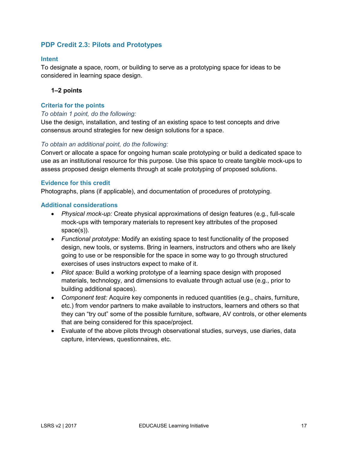### <span id="page-16-0"></span>**PDP Credit 2.3: Pilots and Prototypes**

#### **Intent**

To designate a space, room, or building to serve as a prototyping space for ideas to be considered in learning space design.

#### **1–2 points**

#### **Criteria for the points**

#### *To obtain 1 point, do the following:*

Use the design, installation, and testing of an existing space to test concepts and drive consensus around strategies for new design solutions for a space.

#### *To obtain an additional point, do the following:*

Convert or allocate a space for ongoing human scale prototyping or build a dedicated space to use as an institutional resource for this purpose. Use this space to create tangible mock-ups to assess proposed design elements through at scale prototyping of proposed solutions.

#### **Evidence for this credit**

Photographs, plans (if applicable), and documentation of procedures of prototyping.

- *Physical mock-up:* Create physical approximations of design features (e.g., full-scale mock-ups with temporary materials to represent key attributes of the proposed space(s)).
- *Functional prototype:* Modify an existing space to test functionality of the proposed design, new tools, or systems. Bring in learners, instructors and others who are likely going to use or be responsible for the space in some way to go through structured exercises of uses instructors expect to make of it.
- *Pilot space:* Build a working prototype of a learning space design with proposed materials, technology, and dimensions to evaluate through actual use (e.g., prior to building additional spaces).
- *Component test:* Acquire key components in reduced quantities (e.g., chairs, furniture, etc.) from vendor partners to make available to instructors, learners and others so that they can "try out" some of the possible furniture, software, AV controls, or other elements that are being considered for this space/project.
- Evaluate of the above pilots through observational studies, surveys, use diaries, data capture, interviews, questionnaires, etc.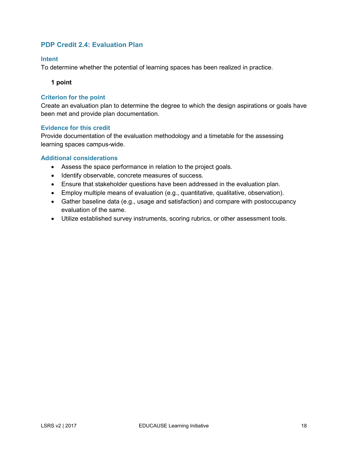### <span id="page-17-0"></span>**PDP Credit 2.4: Evaluation Plan**

#### **Intent**

To determine whether the potential of learning spaces has been realized in practice.

**1 point**

#### **Criterion for the point**

Create an evaluation plan to determine the degree to which the design aspirations or goals have been met and provide plan documentation.

#### **Evidence for this credit**

Provide documentation of the evaluation methodology and a timetable for the assessing learning spaces campus-wide.

- Assess the space performance in relation to the project goals.
- Identify observable, concrete measures of success.
- Ensure that stakeholder questions have been addressed in the evaluation plan.
- Employ multiple means of evaluation (e.g., quantitative, qualitative, observation).
- Gather baseline data (e.g., usage and satisfaction) and compare with postoccupancy evaluation of the same.
- Utilize established survey instruments, scoring rubrics, or other assessment tools.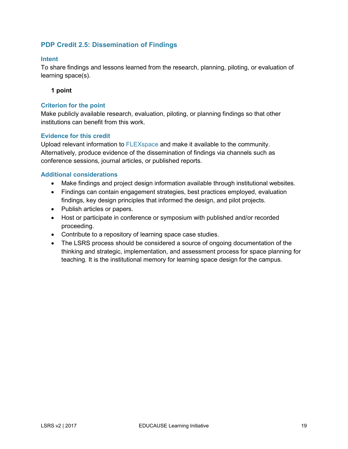### <span id="page-18-0"></span>**PDP Credit 2.5: Dissemination of Findings**

#### **Intent**

To share findings and lessons learned from the research, planning, piloting, or evaluation of learning space(s).

#### **1 point**

#### **Criterion for the point**

Make publicly available research, evaluation, piloting, or planning findings so that other institutions can benefit from this work.

#### **Evidence for this credit**

Upload relevant information to [FLEXspace](http://flexspace.org/) and make it available to the community. Alternatively, produce evidence of the dissemination of findings via channels such as conference sessions, journal articles, or published reports.

- Make findings and project design information available through institutional websites.
- Findings can contain engagement strategies, best practices employed, evaluation findings, key design principles that informed the design, and pilot projects.
- Publish articles or papers.
- Host or participate in conference or symposium with published and/or recorded proceeding.
- Contribute to a repository of learning space case studies.
- The LSRS process should be considered a source of ongoing documentation of the thinking and strategic, implementation, and assessment process for space planning for teaching. It is the institutional memory for learning space design for the campus.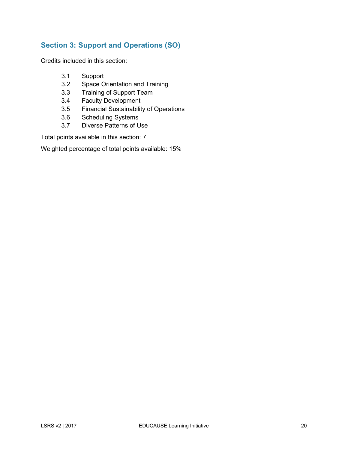### <span id="page-19-0"></span>**Section 3: Support and Operations (SO)**

Credits included in this section:

- 3.1 Support
- 3.2 Space Orientation and Training
- 3.3 Training of Support Team
- 3.4 Faculty Development
- 3.5 Financial Sustainability of Operations
- 3.6 Scheduling Systems
- 3.7 Diverse Patterns of Use

Total points available in this section: 7

Weighted percentage of total points available: 15%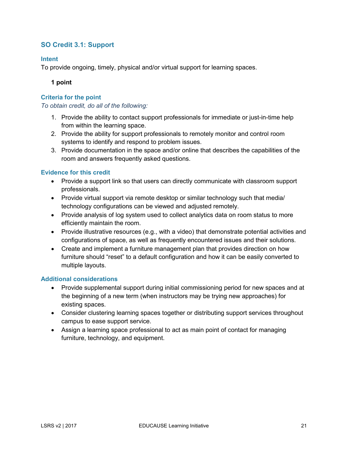### <span id="page-20-0"></span>**SO Credit 3.1: Support**

#### **Intent**

To provide ongoing, timely, physical and/or virtual support for learning spaces.

**1 point**

#### **Criteria for the point**

*To obtain credit, do all of the following:*

- 1. Provide the ability to contact support professionals for immediate or just-in-time help from within the learning space.
- 2. Provide the ability for support professionals to remotely monitor and control room systems to identify and respond to problem issues.
- 3. Provide documentation in the space and/or online that describes the capabilities of the room and answers frequently asked questions.

#### **Evidence for this credit**

- Provide a support link so that users can directly communicate with classroom support professionals.
- Provide virtual support via remote desktop or similar technology such that media/ technology configurations can be viewed and adjusted remotely.
- Provide analysis of log system used to collect analytics data on room status to more efficiently maintain the room.
- Provide illustrative resources (e.g., with a video) that demonstrate potential activities and configurations of space, as well as frequently encountered issues and their solutions.
- Create and implement a furniture management plan that provides direction on how furniture should "reset" to a default configuration and how it can be easily converted to multiple layouts.

- Provide supplemental support during initial commissioning period for new spaces and at the beginning of a new term (when instructors may be trying new approaches) for existing spaces.
- Consider clustering learning spaces together or distributing support services throughout campus to ease support service.
- Assign a learning space professional to act as main point of contact for managing furniture, technology, and equipment.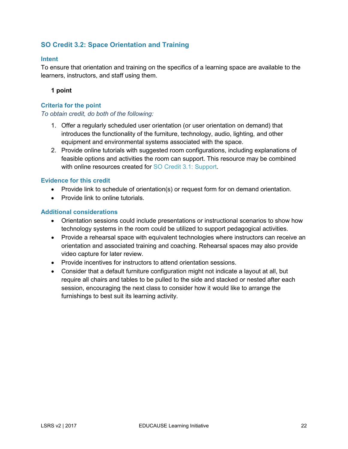### <span id="page-21-0"></span>**SO Credit 3.2: Space Orientation and Training**

#### **Intent**

To ensure that orientation and training on the specifics of a learning space are available to the learners, instructors, and staff using them.

#### **1 point**

#### **Criteria for the point**

#### *To obtain credit, do both of the following:*

- 1. Offer a regularly scheduled user orientation (or user orientation on demand) that introduces the functionality of the furniture, technology, audio, lighting, and other equipment and environmental systems associated with the space.
- 2. Provide online tutorials with suggested room configurations, including explanations of feasible options and activities the room can support. This resource may be combined with online resources created for [SO Credit 3.1: Support.](#page-20-0)

#### **Evidence for this credit**

- Provide link to schedule of orientation(s) or request form for on demand orientation.
- Provide link to online tutorials.

- Orientation sessions could include presentations or instructional scenarios to show how technology systems in the room could be utilized to support pedagogical activities.
- Provide a rehearsal space with equivalent technologies where instructors can receive an orientation and associated training and coaching. Rehearsal spaces may also provide video capture for later review.
- Provide incentives for instructors to attend orientation sessions.
- Consider that a default furniture configuration might not indicate a layout at all, but require all chairs and tables to be pulled to the side and stacked or nested after each session, encouraging the next class to consider how it would like to arrange the furnishings to best suit its learning activity.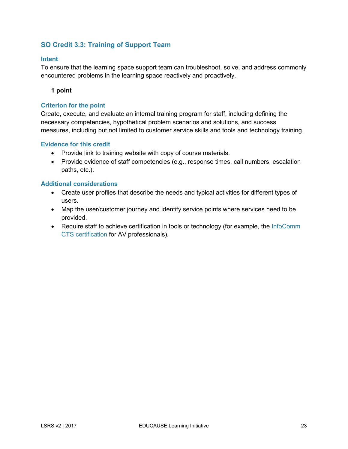### <span id="page-22-0"></span>**SO Credit 3.3: Training of Support Team**

#### **Intent**

To ensure that the learning space support team can troubleshoot, solve, and address commonly encountered problems in the learning space reactively and proactively.

#### **1 point**

#### **Criterion for the point**

Create, execute, and evaluate an internal training program for staff, including defining the necessary competencies, hypothetical problem scenarios and solutions, and success measures, including but not limited to customer service skills and tools and technology training.

#### **Evidence for this credit**

- Provide link to training website with copy of course materials.
- Provide evidence of staff competencies (e.g., response times, call numbers, escalation paths, etc.).

- Create user profiles that describe the needs and typical activities for different types of users.
- Map the user/customer journey and identify service points where services need to be provided.
- Require staff to achieve certification in tools or technology (for example, the InfoComm [CTS certification](https://www.infocomm.org/cps/rde/xchg/infocomm/hs.xsl/certification.htm) for AV professionals).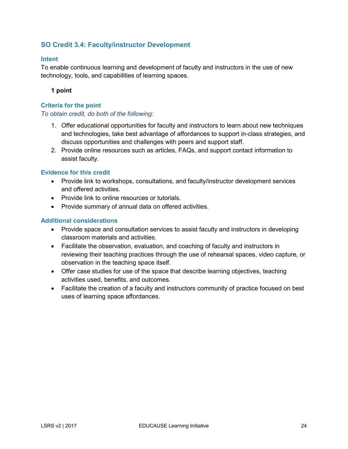### <span id="page-23-0"></span>**SO Credit 3.4: Faculty/instructor Development**

#### **Intent**

To enable continuous learning and development of faculty and instructors in the use of new technology, tools, and capabilities of learning spaces.

#### **1 point**

#### **Criteria for the point**

#### *To obtain credit, do both of the following:*

- 1. Offer educational opportunities for faculty and instructors to learn about new techniques and technologies, take best advantage of affordances to support in-class strategies, and discuss opportunities and challenges with peers and support staff.
- 2. Provide online resources such as articles, FAQs, and support contact information to assist faculty.

#### **Evidence for this credit**

- Provide link to workshops, consultations, and faculty/instructor development services and offered activities.
- Provide link to online resources or tutorials.
- Provide summary of annual data on offered activities.

- Provide space and consultation services to assist faculty and instructors in developing classroom materials and activities.
- Facilitate the observation, evaluation, and coaching of faculty and instructors in reviewing their teaching practices through the use of rehearsal spaces, video capture, or observation in the teaching space itself.
- Offer case studies for use of the space that describe learning objectives, teaching activities used, benefits, and outcomes.
- Facilitate the creation of a faculty and instructors community of practice focused on best uses of learning space affordances.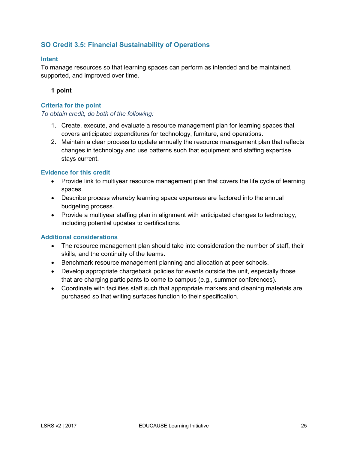### <span id="page-24-0"></span>**SO Credit 3.5: Financial Sustainability of Operations**

#### **Intent**

To manage resources so that learning spaces can perform as intended and be maintained, supported, and improved over time.

#### **1 point**

#### **Criteria for the point**

#### *To obtain credit, do both of the following:*

- 1. Create, execute, and evaluate a resource management plan for learning spaces that covers anticipated expenditures for technology, furniture, and operations.
- 2. Maintain a clear process to update annually the resource management plan that reflects changes in technology and use patterns such that equipment and staffing expertise stays current.

#### **Evidence for this credit**

- Provide link to multiyear resource management plan that covers the life cycle of learning spaces.
- Describe process whereby learning space expenses are factored into the annual budgeting process.
- Provide a multiyear staffing plan in alignment with anticipated changes to technology, including potential updates to certifications.

- The resource management plan should take into consideration the number of staff, their skills, and the continuity of the teams.
- Benchmark resource management planning and allocation at peer schools.
- Develop appropriate chargeback policies for events outside the unit, especially those that are charging participants to come to campus (e.g., summer conferences).
- Coordinate with facilities staff such that appropriate markers and cleaning materials are purchased so that writing surfaces function to their specification.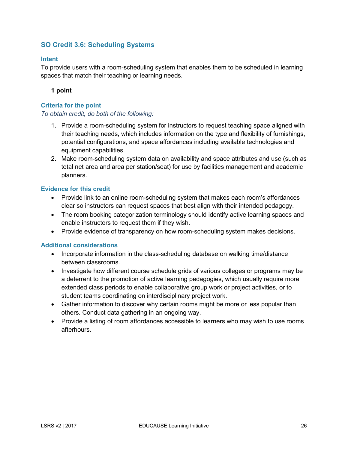### <span id="page-25-0"></span>**SO Credit 3.6: Scheduling Systems**

#### **Intent**

To provide users with a room-scheduling system that enables them to be scheduled in learning spaces that match their teaching or learning needs.

#### **1 point**

#### **Criteria for the point**

#### *To obtain credit, do both of the following:*

- 1. Provide a room-scheduling system for instructors to request teaching space aligned with their teaching needs, which includes information on the type and flexibility of furnishings, potential configurations, and space affordances including available technologies and equipment capabilities.
- 2. Make room-scheduling system data on availability and space attributes and use (such as total net area and area per station/seat) for use by facilities management and academic planners.

#### **Evidence for this credit**

- Provide link to an online room-scheduling system that makes each room's affordances clear so instructors can request spaces that best align with their intended pedagogy.
- The room booking categorization terminology should identify active learning spaces and enable instructors to request them if they wish.
- Provide evidence of transparency on how room-scheduling system makes decisions.

- Incorporate information in the class-scheduling database on walking time/distance between classrooms.
- Investigate how different course schedule grids of various colleges or programs may be a deterrent to the promotion of active learning pedagogies, which usually require more extended class periods to enable collaborative group work or project activities, or to student teams coordinating on interdisciplinary project work.
- Gather information to discover why certain rooms might be more or less popular than others. Conduct data gathering in an ongoing way.
- Provide a listing of room affordances accessible to learners who may wish to use rooms afterhours.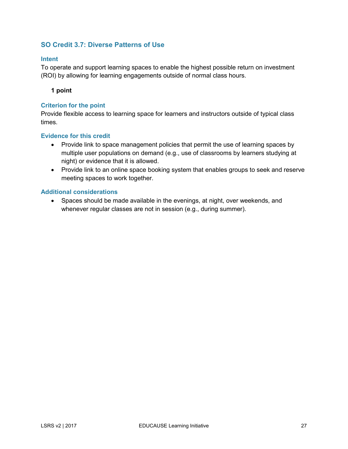### <span id="page-26-0"></span>**SO Credit 3.7: Diverse Patterns of Use**

#### **Intent**

To operate and support learning spaces to enable the highest possible return on investment (ROI) by allowing for learning engagements outside of normal class hours.

**1 point**

#### **Criterion for the point**

Provide flexible access to learning space for learners and instructors outside of typical class times.

#### **Evidence for this credit**

- Provide link to space management policies that permit the use of learning spaces by multiple user populations on demand (e.g., use of classrooms by learners studying at night) or evidence that it is allowed.
- Provide link to an online space booking system that enables groups to seek and reserve meeting spaces to work together.

#### **Additional considerations**

• Spaces should be made available in the evenings, at night, over weekends, and whenever regular classes are not in session (e.g., during summer).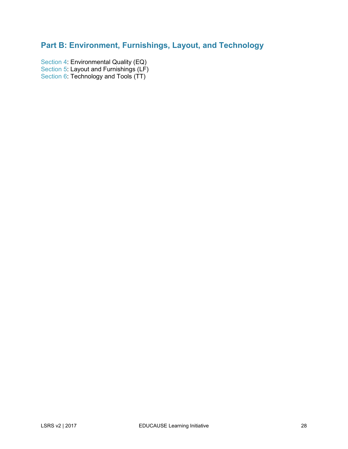# <span id="page-27-0"></span>**Part B: Environment, Furnishings, Layout, and Technology**

[Section 4:](#page-28-0) Environmental Quality (EQ) [Section 5:](#page-37-0) Layout and Furnishings (LF) [Section 6:](#page-50-0) Technology and Tools (TT)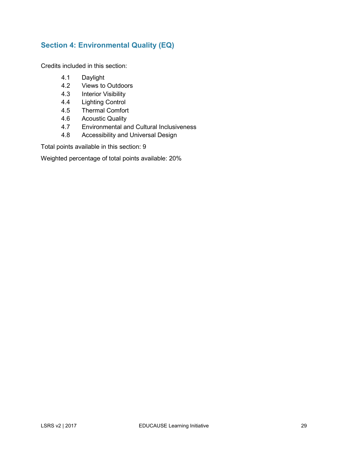### <span id="page-28-0"></span>**Section 4: Environmental Quality (EQ)**

Credits included in this section:

- 4.1 Daylight
- 4.2 Views to Outdoors
- 4.3 Interior Visibility
- 4.4 Lighting Control
- 4.5 Thermal Comfort
- 4.6 Acoustic Quality
- 4.7 Environmental and Cultural Inclusiveness
- 4.8 Accessibility and Universal Design

Total points available in this section: 9

Weighted percentage of total points available: 20%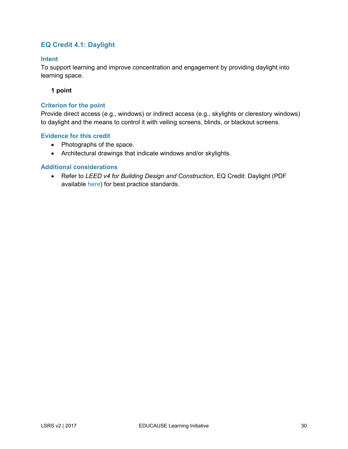### <span id="page-29-0"></span>**EQ Credit 4.1: Daylight**

#### **Intent**

To support learning and improve concentration and engagement by providing daylight into learning space.

#### **1 point**

#### **Criterion for the point**

Provide direct access (e.g., windows) or indirect access (e.g., skylights or clerestory windows) to daylight and the means to control it with veiling screens, blinds, or blackout screens.

#### **Evidence for this credit**

- Photographs of the space.
- Architectural drawings that indicate windows and/or skylights.

#### **Additional considerations**

• Refer to *LEED v4 for Building Design and Construction,* EQ Credit: Daylight (PDF available [here\)](http://www.usgbc.org/resources/leed-v4-building-design-and-construction-current-version) for best practice standards.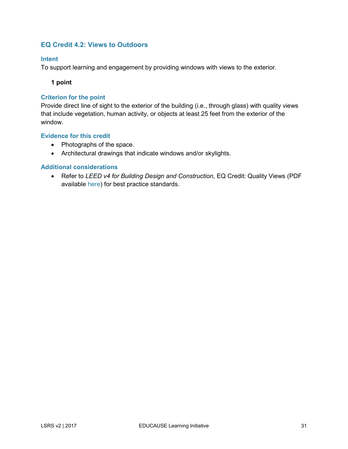### <span id="page-30-0"></span>**EQ Credit 4.2: Views to Outdoors**

#### **Intent**

To support learning and engagement by providing windows with views to the exterior.

**1 point**

#### **Criterion for the point**

Provide direct line of sight to the exterior of the building (i.e., through glass) with quality views that include vegetation, human activity, or objects at least 25 feet from the exterior of the window.

#### **Evidence for this credit**

- Photographs of the space.
- Architectural drawings that indicate windows and/or skylights.

#### **Additional considerations**

• Refer to *LEED v4 for Building Design and Construction*, EQ Credit: Quality Views (PDF available [here\)](http://www.usgbc.org/resources/leed-v4-building-design-and-construction-current-version) for best practice standards.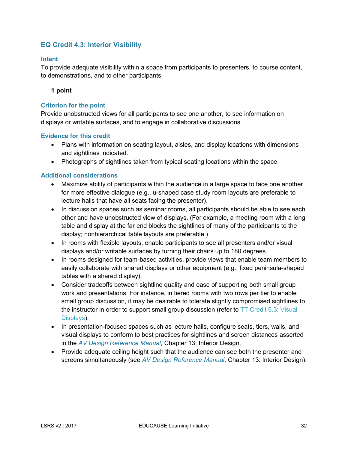### <span id="page-31-0"></span>**EQ Credit 4.3: Interior Visibility**

#### **Intent**

To provide adequate visibility within a space from participants to presenters, to course content, to demonstrations, and to other participants.

#### **1 point**

#### **Criterion for the point**

Provide unobstructed views for all participants to see one another, to see information on displays or writable surfaces, and to engage in collaborative discussions.

#### **Evidence for this credit**

- Plans with information on seating layout, aisles, and display locations with dimensions and sightlines indicated.
- Photographs of sightlines taken from typical seating locations within the space.

- Maximize ability of participants within the audience in a large space to face one another for more effective dialogue (e.g., u-shaped case study room layouts are preferable to lecture halls that have all seats facing the presenter).
- In discussion spaces such as seminar rooms, all participants should be able to see each other and have unobstructed view of displays. (For example, a meeting room with a long table and display at the far end blocks the sightlines of many of the participants to the display; nonhierarchical table layouts are preferable.)
- In rooms with flexible layouts, enable participants to see all presenters and/or visual displays and/or writable surfaces by turning their chairs up to 180 degrees.
- In rooms designed for team-based activities, provide views that enable team members to easily collaborate with shared displays or other equipment (e.g., fixed peninsula-shaped tables with a shared display).
- Consider tradeoffs between sightline quality and ease of supporting both small group work and presentations. For instance, in tiered rooms with two rows per tier to enable small group discussion, it may be desirable to tolerate slightly compromised sightlines to the instructor in order to support small group discussion (refer to [TT Credit 6.3: Visual](#page-53-0)  [Displays\)](#page-53-0).
- In presentation-focused spaces such as lecture halls, configure seats, tiers, walls, and visual displays to conform to best practices for sightlines and screen distances asserted in the *[AV Design Reference Manual](https://www.infocomm.org/fileStore/AVDRM-TOC.PDF)*, Chapter 13: Interior Design.
- Provide adequate ceiling height such that the audience can see both the presenter and screens simultaneously (see *[AV Design Reference Manual](https://www.infocomm.org/fileStore/AVDRM-TOC.PDF)*, Chapter 13: Interior Design).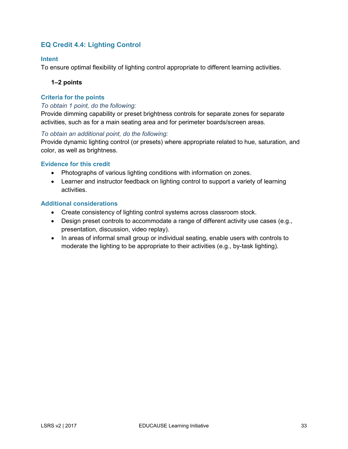### <span id="page-32-0"></span>**EQ Credit 4.4: Lighting Control**

#### **Intent**

To ensure optimal flexibility of lighting control appropriate to different learning activities.

#### **1–2 points**

#### **Criteria for the points**

#### *To obtain 1 point, do the following:*

Provide dimming capability or preset brightness controls for separate zones for separate activities, such as for a main seating area and for perimeter boards/screen areas.

#### *To obtain an additional point, do the following:*

Provide dynamic lighting control (or presets) where appropriate related to hue, saturation, and color, as well as brightness.

#### **Evidence for this credit**

- Photographs of various lighting conditions with information on zones.
- Learner and instructor feedback on lighting control to support a variety of learning activities.

- Create consistency of lighting control systems across classroom stock.
- Design preset controls to accommodate a range of different activity use cases (e.g., presentation, discussion, video replay).
- In areas of informal small group or individual seating, enable users with controls to moderate the lighting to be appropriate to their activities (e.g., by-task lighting).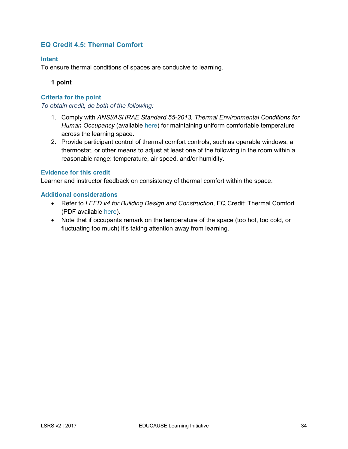### <span id="page-33-0"></span>**EQ Credit 4.5: Thermal Comfort**

#### **Intent**

To ensure thermal conditions of spaces are conducive to learning.

**1 point**

#### **Criteria for the point**

*To obtain credit, do both of the following:*

- 1. Comply with *ANSI/ASHRAE Standard 55-2013, Thermal Environmental Conditions for Human Occupancy* (available [here\)](https://www.ashrae.org/resources--publications/bookstore/standard-55-and-user-s-manual) for maintaining uniform comfortable temperature across the learning space.
- 2. Provide participant control of thermal comfort controls, such as operable windows, a thermostat, or other means to adjust at least one of the following in the room within a reasonable range: temperature, air speed, and/or humidity.

#### **Evidence for this credit**

Learner and instructor feedback on consistency of thermal comfort within the space.

- Refer to *LEED v4 for Building Design and Construction*, EQ Credit: Thermal Comfort (PDF available [here\)](http://www.usgbc.org/resources/leed-v4-building-design-and-construction-current-version).
- Note that if occupants remark on the temperature of the space (too hot, too cold, or fluctuating too much) it's taking attention away from learning.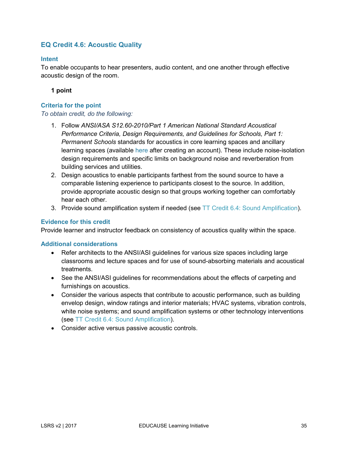### <span id="page-34-0"></span>**EQ Credit 4.6: Acoustic Quality**

#### **Intent**

To enable occupants to hear presenters, audio content, and one another through effective acoustic design of the room.

**1 point**

#### **Criteria for the point**

#### *To obtain credit, do the following:*

- 1. Follow *ANSI/ASA S12.60-2010/Part 1 American National Standard Acoustical Performance Criteria, Design Requirements, and Guidelines for Schools, Part 1: Permanent Schools* standards for acoustics in core learning spaces and ancillary learning spaces (available [here](https://global.ihs.com/search_res.cfm?&csf=ASA&input_doc_number=%22ANSI%2FASA%20S12%2E60%20PART%201%22&input_doc_title=&org_code=ASA&input_asa_filter=ASA-NULL-S12) after creating an account). These include noise-isolation design requirements and specific limits on background noise and reverberation from building services and utilities.
- 2. Design acoustics to enable participants farthest from the sound source to have a comparable listening experience to participants closest to the source. In addition, provide appropriate acoustic design so that groups working together can comfortably hear each other.
- 3. Provide sound amplification system if needed (see [TT Credit 6.4: Sound Amplification\)](#page-54-0).

#### **Evidence for this credit**

Provide learner and instructor feedback on consistency of acoustics quality within the space.

- Refer architects to the ANSI/ASI guidelines for various size spaces including large classrooms and lecture spaces and for use of sound-absorbing materials and acoustical treatments.
- See the ANSI/ASI guidelines for recommendations about the effects of carpeting and furnishings on acoustics.
- Consider the various aspects that contribute to acoustic performance, such as building envelop design, window ratings and interior materials; HVAC systems, vibration controls, white noise systems; and sound amplification systems or other technology interventions (see [TT Credit 6.4: Sound Amplification\)](#page-54-0).
- Consider active versus passive acoustic controls.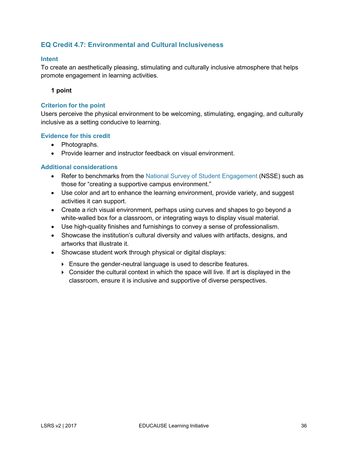### <span id="page-35-0"></span>**EQ Credit 4.7: Environmental and Cultural Inclusiveness**

#### **Intent**

To create an aesthetically pleasing, stimulating and culturally inclusive atmosphere that helps promote engagement in learning activities.

#### **1 point**

#### **Criterion for the point**

Users perceive the physical environment to be welcoming, stimulating, engaging, and culturally inclusive as a setting conducive to learning.

#### **Evidence for this credit**

- Photographs.
- Provide learner and instructor feedback on visual environment.

- Refer to benchmarks from the [National Survey of Student Engagement](http://nsse.indiana.edu/html/about.cfm) (NSSE) such as those for "creating a supportive campus environment."
- Use color and art to enhance the learning environment, provide variety, and suggest activities it can support.
- Create a rich visual environment, perhaps using curves and shapes to go beyond a white-walled box for a classroom, or integrating ways to display visual material.
- Use high-quality finishes and furnishings to convey a sense of professionalism.
- Showcase the institution's cultural diversity and values with artifacts, designs, and artworks that illustrate it.
- Showcase student work through physical or digital displays:
	- Ensure the gender-neutral language is used to describe features.
	- $\triangleright$  Consider the cultural context in which the space will live. If art is displayed in the classroom, ensure it is inclusive and supportive of diverse perspectives.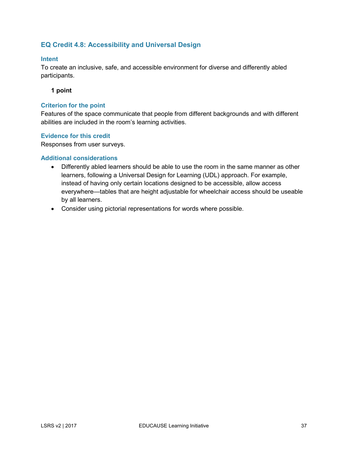### <span id="page-36-0"></span>**EQ Credit 4.8: Accessibility and Universal Design**

#### **Intent**

To create an inclusive, safe, and accessible environment for diverse and differently abled participants.

#### **1 point**

#### **Criterion for the point**

Features of the space communicate that people from different backgrounds and with different abilities are included in the room's learning activities.

#### **Evidence for this credit**

Responses from user surveys.

- Differently abled learners should be able to use the room in the same manner as other learners, following a Universal Design for Learning (UDL) approach. For example, instead of having only certain locations designed to be accessible, allow access everywhere—tables that are height adjustable for wheelchair access should be useable by all learners.
- Consider using pictorial representations for words where possible.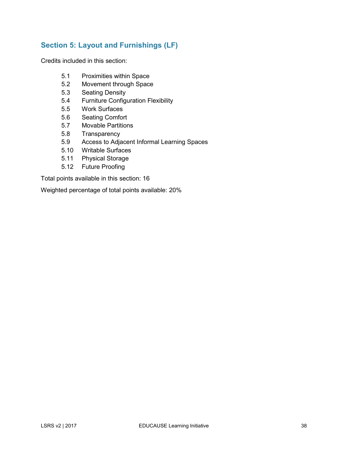### <span id="page-37-0"></span>**Section 5: Layout and Furnishings (LF)**

Credits included in this section:

- 5.1 Proximities within Space
- 5.2 Movement through Space
- 5.3 Seating Density
- 5.4 Furniture Configuration Flexibility
- 5.5 Work Surfaces
- 5.6 Seating Comfort
- 5.7 Movable Partitions
- 5.8 Transparency
- 5.9 Access to Adjacent Informal Learning Spaces
- 5.10 Writable Surfaces
- 5.11 Physical Storage
- 5.12 Future Proofing

Total points available in this section: 16

Weighted percentage of total points available: 20%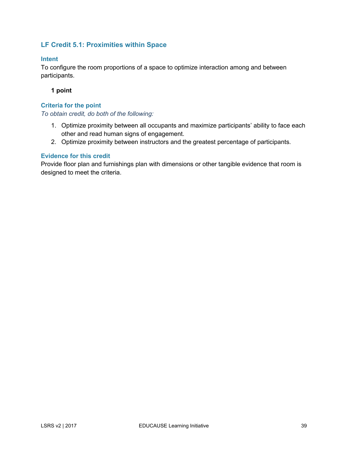### <span id="page-38-0"></span>**LF Credit 5.1: Proximities within Space**

#### **Intent**

To configure the room proportions of a space to optimize interaction among and between participants.

#### **1 point**

#### **Criteria for the point**

*To obtain credit, do both of the following:*

- 1. Optimize proximity between all occupants and maximize participants' ability to face each other and read human signs of engagement.
- 2. Optimize proximity between instructors and the greatest percentage of participants.

#### **Evidence for this credit**

Provide floor plan and furnishings plan with dimensions or other tangible evidence that room is designed to meet the criteria.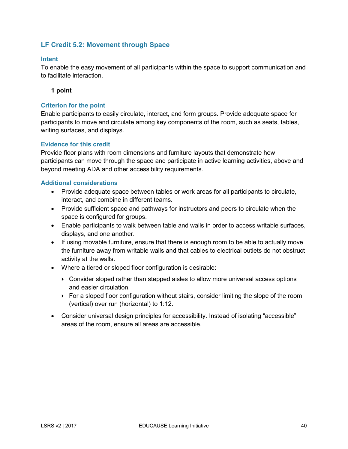### <span id="page-39-0"></span>**LF Credit 5.2: Movement through Space**

#### **Intent**

To enable the easy movement of all participants within the space to support communication and to facilitate interaction.

#### **1 point**

#### **Criterion for the point**

Enable participants to easily circulate, interact, and form groups. Provide adequate space for participants to move and circulate among key components of the room, such as seats, tables, writing surfaces, and displays.

#### **Evidence for this credit**

Provide floor plans with room dimensions and furniture layouts that demonstrate how participants can move through the space and participate in active learning activities, above and beyond meeting ADA and other accessibility requirements.

- Provide adequate space between tables or work areas for all participants to circulate, interact, and combine in different teams.
- Provide sufficient space and pathways for instructors and peers to circulate when the space is configured for groups.
- Enable participants to walk between table and walls in order to access writable surfaces, displays, and one another.
- If using movable furniture, ensure that there is enough room to be able to actually move the furniture away from writable walls and that cables to electrical outlets do not obstruct activity at the walls.
- Where a tiered or sloped floor configuration is desirable:
	- Consider sloped rather than stepped aisles to allow more universal access options and easier circulation.
	- For a sloped floor configuration without stairs, consider limiting the slope of the room (vertical) over run (horizontal) to 1:12.
- Consider universal design principles for accessibility. Instead of isolating "accessible" areas of the room, ensure all areas are accessible.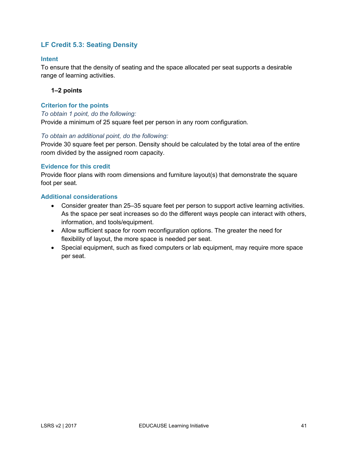### <span id="page-40-0"></span>**LF Credit 5.3: Seating Density**

#### **Intent**

To ensure that the density of seating and the space allocated per seat supports a desirable range of learning activities.

#### **1–2 points**

#### **Criterion for the points**

#### *To obtain 1 point, do the following:*

Provide a minimum of 25 square feet per person in any room configuration.

#### *To obtain an additional point, do the following:*

Provide 30 square feet per person. Density should be calculated by the total area of the entire room divided by the assigned room capacity.

#### **Evidence for this credit**

Provide floor plans with room dimensions and furniture layout(s) that demonstrate the square foot per seat.

- Consider greater than 25–35 square feet per person to support active learning activities. As the space per seat increases so do the different ways people can interact with others, information, and tools/equipment.
- Allow sufficient space for room reconfiguration options. The greater the need for flexibility of layout, the more space is needed per seat.
- Special equipment, such as fixed computers or lab equipment, may require more space per seat.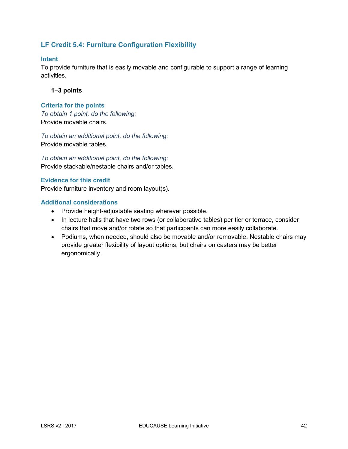### <span id="page-41-0"></span>**LF Credit 5.4: Furniture Configuration Flexibility**

#### **Intent**

To provide furniture that is easily movable and configurable to support a range of learning activities.

#### **1–3 points**

#### **Criteria for the points**

*To obtain 1 point, do the following:* Provide movable chairs.

*To obtain an additional point, do the following:* Provide movable tables.

*To obtain an additional point, do the following:* Provide stackable/nestable chairs and/or tables.

#### **Evidence for this credit**

Provide furniture inventory and room layout(s).

- Provide height-adjustable seating wherever possible.
- In lecture halls that have two rows (or collaborative tables) per tier or terrace, consider chairs that move and/or rotate so that participants can more easily collaborate.
- Podiums, when needed, should also be movable and/or removable. Nestable chairs may provide greater flexibility of layout options, but chairs on casters may be better ergonomically.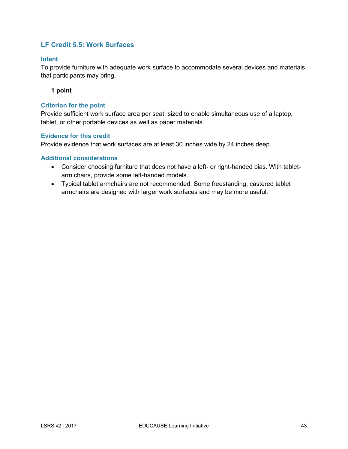### <span id="page-42-0"></span>**LF Credit 5.5: Work Surfaces**

#### **Intent**

To provide furniture with adequate work surface to accommodate several devices and materials that participants may bring.

**1 point**

#### **Criterion for the point**

Provide sufficient work surface area per seat, sized to enable simultaneous use of a laptop, tablet, or other portable devices as well as paper materials.

#### **Evidence for this credit**

Provide evidence that work surfaces are at least 30 inches wide by 24 inches deep.

- Consider choosing furniture that does not have a left- or right-handed bias. With tabletarm chairs, provide some left-handed models.
- Typical tablet armchairs are not recommended. Some freestanding, castered tablet armchairs are designed with larger work surfaces and may be more useful.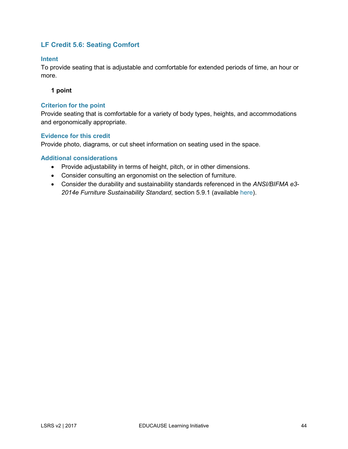### <span id="page-43-0"></span>**LF Credit 5.6: Seating Comfort**

#### **Intent**

To provide seating that is adjustable and comfortable for extended periods of time, an hour or more.

#### **1 point**

#### **Criterion for the point**

Provide seating that is comfortable for a variety of body types, heights, and accommodations and ergonomically appropriate.

#### **Evidence for this credit**

Provide photo, diagrams, or cut sheet information on seating used in the space.

- Provide adjustability in terms of height, pitch, or in other dimensions.
- Consider consulting an ergonomist on the selection of furniture.
- Consider the durability and sustainability standards referenced in the *ANSI/BIFMA e3- 2014e Furniture Sustainability Standard*, section 5.9.1 (available [here\)](https://www.bifma.org/store/ViewProduct.aspx?id=1377924).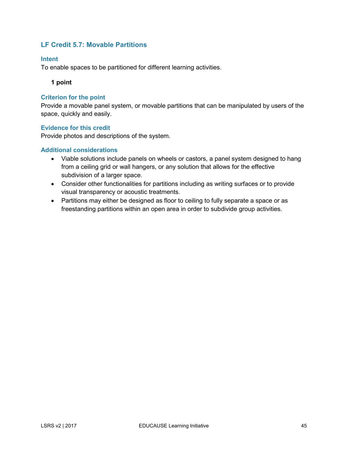### <span id="page-44-0"></span>**LF Credit 5.7: Movable Partitions**

#### **Intent**

To enable spaces to be partitioned for different learning activities.

#### **1 point**

#### **Criterion for the point**

Provide a movable panel system, or movable partitions that can be manipulated by users of the space, quickly and easily.

#### **Evidence for this credit**

Provide photos and descriptions of the system.

- Viable solutions include panels on wheels or castors, a panel system designed to hang from a ceiling grid or wall hangers, or any solution that allows for the effective subdivision of a larger space.
- Consider other functionalities for partitions including as writing surfaces or to provide visual transparency or acoustic treatments.
- Partitions may either be designed as floor to ceiling to fully separate a space or as freestanding partitions within an open area in order to subdivide group activities.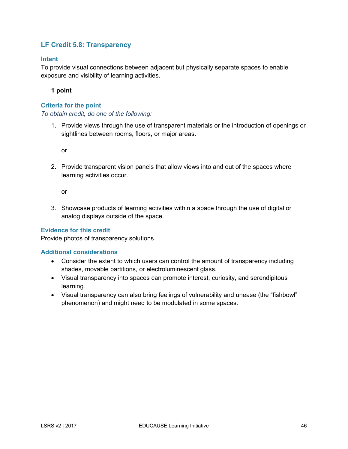### <span id="page-45-0"></span>**LF Credit 5.8: Transparency**

#### **Intent**

To provide visual connections between adjacent but physically separate spaces to enable exposure and visibility of learning activities.

**1 point**

#### **Criteria for the point**

#### *To obtain credit, do one of the following:*

1. Provide views through the use of transparent materials or the introduction of openings or sightlines between rooms, floors, or major areas.

or

2. Provide transparent vision panels that allow views into and out of the spaces where learning activities occur.

or

3. Showcase products of learning activities within a space through the use of digital or analog displays outside of the space.

#### **Evidence for this credit**

Provide photos of transparency solutions.

- Consider the extent to which users can control the amount of transparency including shades, movable partitions, or electroluminescent glass.
- Visual transparency into spaces can promote interest, curiosity, and serendipitous learning.
- Visual transparency can also bring feelings of vulnerability and unease (the "fishbowl" phenomenon) and might need to be modulated in some spaces.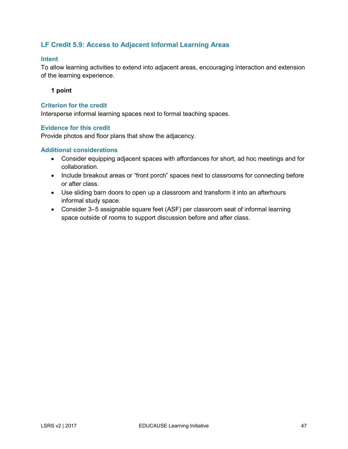### <span id="page-46-0"></span>**LF Credit 5.9: Access to Adjacent Informal Learning Areas**

#### **Intent**

To allow learning activities to extend into adjacent areas, encouraging interaction and extension of the learning experience.

**1 point**

#### **Criterion for the credit**

Intersperse informal learning spaces next to formal teaching spaces.

#### **Evidence for this credit**

Provide photos and floor plans that show the adjacency.

- Consider equipping adjacent spaces with affordances for short, ad hoc meetings and for collaboration.
- Include breakout areas or "front porch" spaces next to classrooms for connecting before or after class.
- Use sliding barn doors to open up a classroom and transform it into an afterhours informal study space.
- Consider 3–5 assignable square feet (ASF) per classroom seat of informal learning space outside of rooms to support discussion before and after class.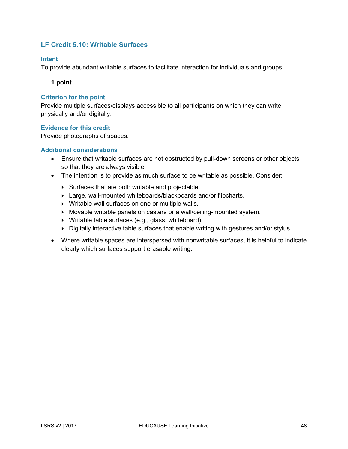### <span id="page-47-0"></span>**LF Credit 5.10: Writable Surfaces**

#### **Intent**

To provide abundant writable surfaces to facilitate interaction for individuals and groups.

**1 point**

#### **Criterion for the point**

Provide multiple surfaces/displays accessible to all participants on which they can write physically and/or digitally.

#### **Evidence for this credit**

Provide photographs of spaces.

- Ensure that writable surfaces are not obstructed by pull-down screens or other objects so that they are always visible.
- The intention is to provide as much surface to be writable as possible. Consider:
	- Surfaces that are both writable and projectable.
	- Large, wall-mounted whiteboards/blackboards and/or flipcharts.
	- Writable wall surfaces on one or multiple walls.
	- Movable writable panels on casters or a wall/ceiling-mounted system.
	- Writable table surfaces (e.g., glass, whiteboard).
	- ▶ Digitally interactive table surfaces that enable writing with gestures and/or stylus.
- Where writable spaces are interspersed with nonwritable surfaces, it is helpful to indicate clearly which surfaces support erasable writing.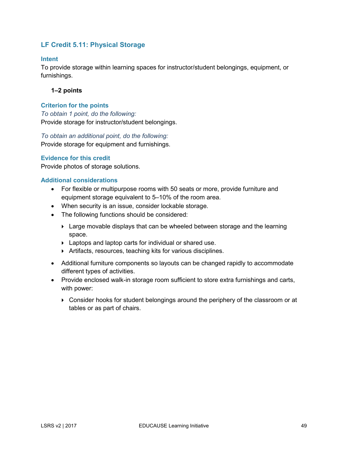### <span id="page-48-0"></span>**LF Credit 5.11: Physical Storage**

#### **Intent**

To provide storage within learning spaces for instructor/student belongings, equipment, or furnishings.

#### **1–2 points**

#### **Criterion for the points**

*To obtain 1 point, do the following:* Provide storage for instructor/student belongings.

*To obtain an additional point, do the following:*

Provide storage for equipment and furnishings.

#### **Evidence for this credit**

Provide photos of storage solutions.

- For flexible or multipurpose rooms with 50 seats or more, provide furniture and equipment storage equivalent to 5–10% of the room area.
- When security is an issue, consider lockable storage.
- The following functions should be considered:
	- **Example 3** Large movable displays that can be wheeled between storage and the learning space.
	- Laptops and laptop carts for individual or shared use.
	- Artifacts, resources, teaching kits for various disciplines.
- Additional furniture components so layouts can be changed rapidly to accommodate different types of activities.
- Provide enclosed walk-in storage room sufficient to store extra furnishings and carts, with power:
	- Consider hooks for student belongings around the periphery of the classroom or at tables or as part of chairs.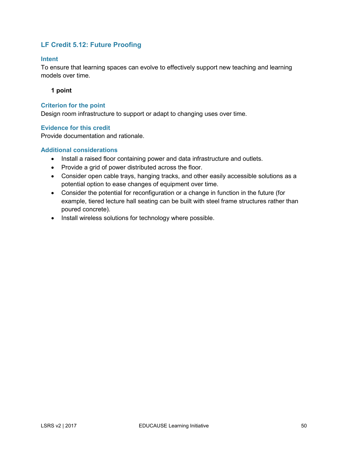### <span id="page-49-0"></span>**LF Credit 5.12: Future Proofing**

#### **Intent**

To ensure that learning spaces can evolve to effectively support new teaching and learning models over time.

**1 point**

#### **Criterion for the point**

Design room infrastructure to support or adapt to changing uses over time.

#### **Evidence for this credit**

Provide documentation and rationale.

- Install a raised floor containing power and data infrastructure and outlets.
- Provide a grid of power distributed across the floor.
- Consider open cable trays, hanging tracks, and other easily accessible solutions as a potential option to ease changes of equipment over time.
- Consider the potential for reconfiguration or a change in function in the future (for example, tiered lecture hall seating can be built with steel frame structures rather than poured concrete).
- Install wireless solutions for technology where possible.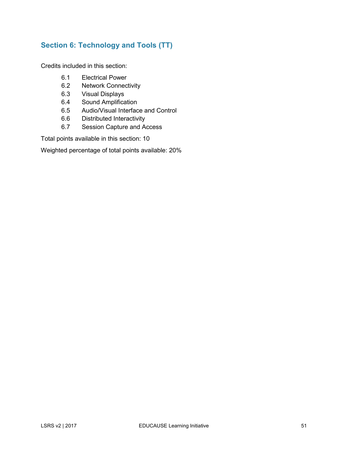## <span id="page-50-0"></span>**Section 6: Technology and Tools (TT)**

Credits included in this section:

- 6.1 Electrical Power
- 6.2 Network Connectivity
- 6.3 Visual Displays
- 6.4 Sound Amplification
- 6.5 Audio/Visual Interface and Control
- 6.6 Distributed Interactivity
- 6.7 Session Capture and Access

Total points available in this section: 10

Weighted percentage of total points available: 20%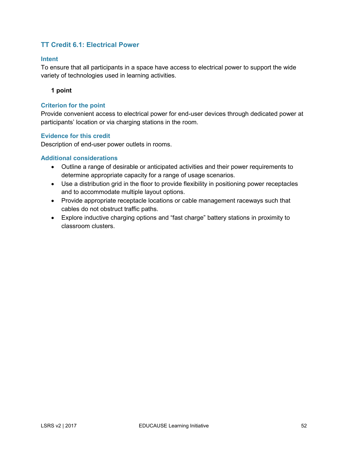### <span id="page-51-0"></span>**TT Credit 6.1: Electrical Power**

#### **Intent**

To ensure that all participants in a space have access to electrical power to support the wide variety of technologies used in learning activities.

**1 point**

#### **Criterion for the point**

Provide convenient access to electrical power for end-user devices through dedicated power at participants' location or via charging stations in the room.

#### **Evidence for this credit**

Description of end-user power outlets in rooms.

- Outline a range of desirable or anticipated activities and their power requirements to determine appropriate capacity for a range of usage scenarios.
- Use a distribution grid in the floor to provide flexibility in positioning power receptacles and to accommodate multiple layout options.
- Provide appropriate receptacle locations or cable management raceways such that cables do not obstruct traffic paths.
- Explore inductive charging options and "fast charge" battery stations in proximity to classroom clusters.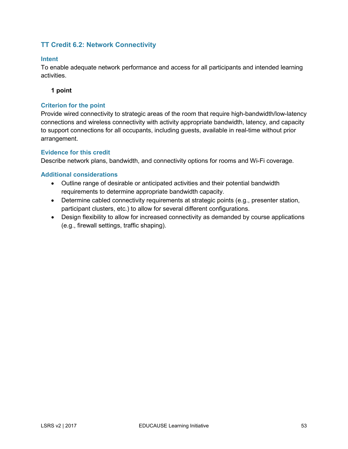### <span id="page-52-0"></span>**TT Credit 6.2: Network Connectivity**

#### **Intent**

To enable adequate network performance and access for all participants and intended learning activities.

#### **1 point**

#### **Criterion for the point**

Provide wired connectivity to strategic areas of the room that require high-bandwidth/low-latency connections and wireless connectivity with activity appropriate bandwidth, latency, and capacity to support connections for all occupants, including guests, available in real-time without prior arrangement.

#### **Evidence for this credit**

Describe network plans, bandwidth, and connectivity options for rooms and Wi-Fi coverage.

- Outline range of desirable or anticipated activities and their potential bandwidth requirements to determine appropriate bandwidth capacity.
- Determine cabled connectivity requirements at strategic points (e.g., presenter station, participant clusters, etc.) to allow for several different configurations.
- Design flexibility to allow for increased connectivity as demanded by course applications (e.g., firewall settings, traffic shaping).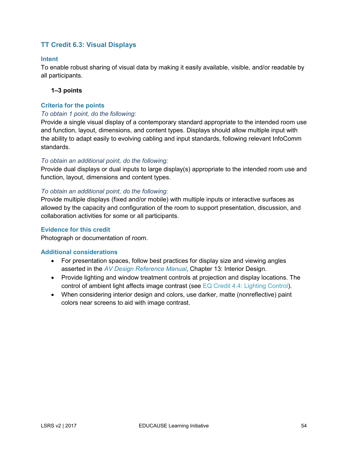### <span id="page-53-0"></span>**TT Credit 6.3: Visual Displays**

#### **Intent**

To enable robust sharing of visual data by making it easily available, visible, and/or readable by all participants.

#### **1–3 points**

#### **Criteria for the points**

#### *To obtain 1 point, do the following:*

Provide a single visual display of a contemporary standard appropriate to the intended room use and function, layout, dimensions, and content types. Displays should allow multiple input with the ability to adapt easily to evolving cabling and input standards, following relevant InfoComm standards.

#### *To obtain an additional point, do the following:*

Provide dual displays or dual inputs to large display(s) appropriate to the intended room use and function, layout, dimensions and content types.

#### *To obtain an additional point, do the following:*

Provide multiple displays (fixed and/or mobile) with multiple inputs or interactive surfaces as allowed by the capacity and configuration of the room to support presentation, discussion, and collaboration activities for some or all participants.

#### **Evidence for this credit**

Photograph or documentation of room.

- For presentation spaces, follow best practices for display size and viewing angles asserted in the *[AV Design Reference Manual](https://www.infocomm.org/fileStore/AVDRM-TOC.PDF)*, Chapter 13: Interior Design.
- Provide lighting and window treatment controls at projection and display locations. The control of ambient light affects image contrast (see [EQ Credit 4.4: Lighting Control\)](#page-32-0).
- When considering interior design and colors, use darker, matte (nonreflective) paint colors near screens to aid with image contrast.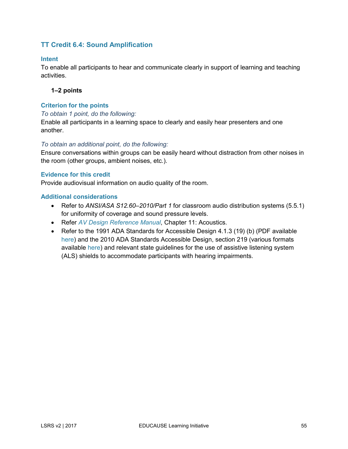### <span id="page-54-0"></span>**TT Credit 6.4: Sound Amplification**

#### **Intent**

To enable all participants to hear and communicate clearly in support of learning and teaching activities.

#### **1–2 points**

#### **Criterion for the points**

#### *To obtain 1 point, do the following:*

Enable all participants in a learning space to clearly and easily hear presenters and one another.

#### *To obtain an additional point, do the following:*

Ensure conversations within groups can be easily heard without distraction from other noises in the room (other groups, ambient noises, etc.).

#### **Evidence for this credit**

Provide audiovisual information on audio quality of the room.

- Refer to *ANSI/ASA S12.60–2010/Part 1* for classroom audio distribution systems (5.5.1) for uniformity of coverage and sound pressure levels.
- Refer *[AV Design Reference Manual](https://www.infocomm.org/fileStore/AVDRM-TOC.PDF)*, Chapter 11: Acoustics.
- Refer to the 1991 ADA Standards for Accessible Design 4.1.3 (19) (b) (PDF available [here\)](https://www.ada.gov/1991standards/adastd94-archive.pdf) and the 2010 ADA Standards Accessible Design, section 219 (various formats available [here\)](https://www.ada.gov/2010ADAstandards_index.htm) and relevant state guidelines for the use of assistive listening system (ALS) shields to accommodate participants with hearing impairments.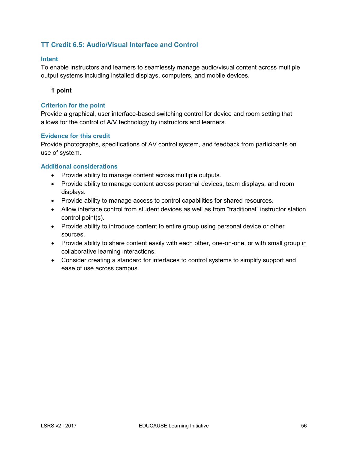### <span id="page-55-0"></span>**TT Credit 6.5: Audio/Visual Interface and Control**

#### **Intent**

To enable instructors and learners to seamlessly manage audio/visual content across multiple output systems including installed displays, computers, and mobile devices.

#### **1 point**

#### **Criterion for the point**

Provide a graphical, user interface-based switching control for device and room setting that allows for the control of A/V technology by instructors and learners.

#### **Evidence for this credit**

Provide photographs, specifications of AV control system, and feedback from participants on use of system.

- Provide ability to manage content across multiple outputs.
- Provide ability to manage content across personal devices, team displays, and room displays.
- Provide ability to manage access to control capabilities for shared resources.
- Allow interface control from student devices as well as from "traditional" instructor station control point(s).
- Provide ability to introduce content to entire group using personal device or other sources.
- Provide ability to share content easily with each other, one-on-one, or with small group in collaborative learning interactions.
- Consider creating a standard for interfaces to control systems to simplify support and ease of use across campus.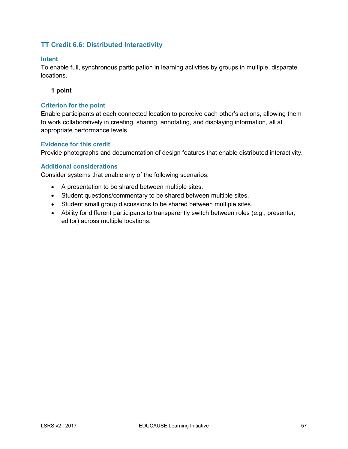### <span id="page-56-0"></span>**TT Credit 6.6: Distributed Interactivity**

#### **Intent**

To enable full, synchronous participation in learning activities by groups in multiple, disparate locations.

#### **1 point**

#### **Criterion for the point**

Enable participants at each connected location to perceive each other's actions, allowing them to work collaboratively in creating, sharing, annotating, and displaying information, all at appropriate performance levels.

#### **Evidence for this credit**

Provide photographs and documentation of design features that enable distributed interactivity.

#### **Additional considerations**

Consider systems that enable any of the following scenarios:

- A presentation to be shared between multiple sites.
- Student questions/commentary to be shared between multiple sites.
- Student small group discussions to be shared between multiple sites.
- Ability for different participants to transparently switch between roles (e.g., presenter, editor) across multiple locations.